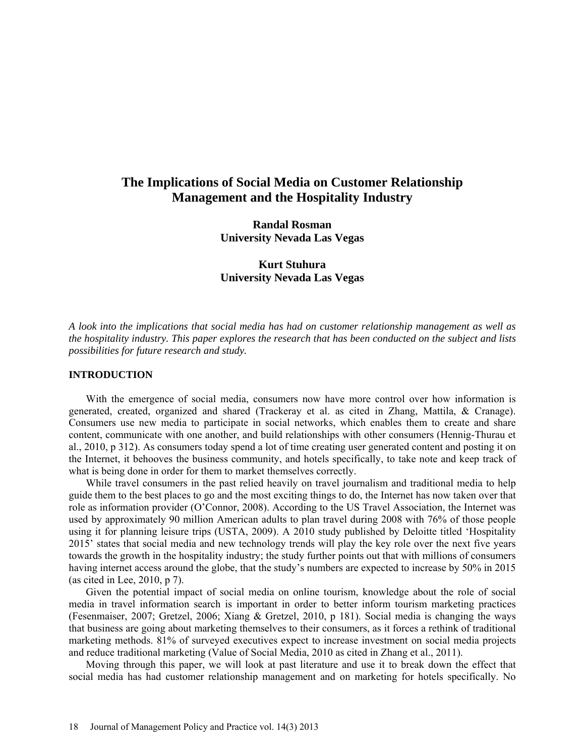# **The Implications of Social Media on Customer Relationship Management and the Hospitality Industry**

**Randal Rosman University Nevada Las Vegas** 

**Kurt Stuhura University Nevada Las Vegas** 

*A look into the implications that social media has had on customer relationship management as well as the hospitality industry. This paper explores the research that has been conducted on the subject and lists possibilities for future research and study.*

## **INTRODUCTION**

With the emergence of social media, consumers now have more control over how information is generated, created, organized and shared (Trackeray et al. as cited in Zhang, Mattila, & Cranage). Consumers use new media to participate in social networks, which enables them to create and share content, communicate with one another, and build relationships with other consumers (Hennig-Thurau et al., 2010, p 312). As consumers today spend a lot of time creating user generated content and posting it on the Internet, it behooves the business community, and hotels specifically, to take note and keep track of what is being done in order for them to market themselves correctly.

While travel consumers in the past relied heavily on travel journalism and traditional media to help guide them to the best places to go and the most exciting things to do, the Internet has now taken over that role as information provider (O'Connor, 2008). According to the US Travel Association, the Internet was used by approximately 90 million American adults to plan travel during 2008 with 76% of those people using it for planning leisure trips (USTA, 2009). A 2010 study published by Deloitte titled 'Hospitality 2015' states that social media and new technology trends will play the key role over the next five years towards the growth in the hospitality industry; the study further points out that with millions of consumers having internet access around the globe, that the study's numbers are expected to increase by 50% in 2015 (as cited in Lee, 2010, p 7).

Given the potential impact of social media on online tourism, knowledge about the role of social media in travel information search is important in order to better inform tourism marketing practices (Fesenmaiser, 2007; Gretzel, 2006; Xiang & Gretzel, 2010, p 181). Social media is changing the ways that business are going about marketing themselves to their consumers, as it forces a rethink of traditional marketing methods. 81% of surveyed executives expect to increase investment on social media projects and reduce traditional marketing (Value of Social Media, 2010 as cited in Zhang et al., 2011).

Moving through this paper, we will look at past literature and use it to break down the effect that social media has had customer relationship management and on marketing for hotels specifically. No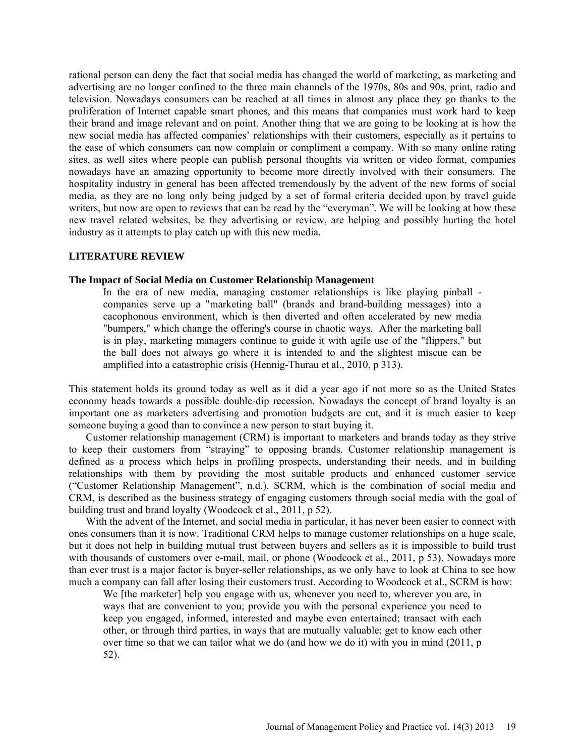rational person can deny the fact that social media has changed the world of marketing, as marketing and advertising are no longer confined to the three main channels of the 1970s, 80s and 90s, print, radio and television. Nowadays consumers can be reached at all times in almost any place they go thanks to the proliferation of Internet capable smart phones, and this means that companies must work hard to keep their brand and image relevant and on point. Another thing that we are going to be looking at is how the new social media has affected companies' relationships with their customers, especially as it pertains to the ease of which consumers can now complain or compliment a company. With so many online rating sites, as well sites where people can publish personal thoughts via written or video format, companies nowadays have an amazing opportunity to become more directly involved with their consumers. The hospitality industry in general has been affected tremendously by the advent of the new forms of social media, as they are no long only being judged by a set of formal criteria decided upon by travel guide writers, but now are open to reviews that can be read by the "everyman". We will be looking at how these new travel related websites, be they advertising or review, are helping and possibly hurting the hotel industry as it attempts to play catch up with this new media.

## **LITERATURE REVIEW**

#### **The Impact of Social Media on Customer Relationship Management**

In the era of new media, managing customer relationships is like playing pinball companies serve up a "marketing ball" (brands and brand-building messages) into a cacophonous environment, which is then diverted and often accelerated by new media "bumpers," which change the offering's course in chaotic ways. After the marketing ball is in play, marketing managers continue to guide it with agile use of the "flippers," but the ball does not always go where it is intended to and the slightest miscue can be amplified into a catastrophic crisis (Hennig-Thurau et al., 2010, p 313).

This statement holds its ground today as well as it did a year ago if not more so as the United States economy heads towards a possible double-dip recession. Nowadays the concept of brand loyalty is an important one as marketers advertising and promotion budgets are cut, and it is much easier to keep someone buying a good than to convince a new person to start buying it.

Customer relationship management (CRM) is important to marketers and brands today as they strive to keep their customers from "straying" to opposing brands. Customer relationship management is defined as a process which helps in profiling prospects, understanding their needs, and in building relationships with them by providing the most suitable products and enhanced customer service ("Customer Relationship Management", n.d.). SCRM, which is the combination of social media and CRM, is described as the business strategy of engaging customers through social media with the goal of building trust and brand loyalty (Woodcock et al., 2011, p 52).

With the advent of the Internet, and social media in particular, it has never been easier to connect with ones consumers than it is now. Traditional CRM helps to manage customer relationships on a huge scale, but it does not help in building mutual trust between buyers and sellers as it is impossible to build trust with thousands of customers over e-mail, mail, or phone (Woodcock et al., 2011, p 53). Nowadays more than ever trust is a major factor is buyer-seller relationships, as we only have to look at China to see how much a company can fall after losing their customers trust. According to Woodcock et al., SCRM is how:

We [the marketer] help you engage with us, whenever you need to, wherever you are, in ways that are convenient to you; provide you with the personal experience you need to keep you engaged, informed, interested and maybe even entertained; transact with each other, or through third parties, in ways that are mutually valuable; get to know each other over time so that we can tailor what we do (and how we do it) with you in mind (2011, p 52).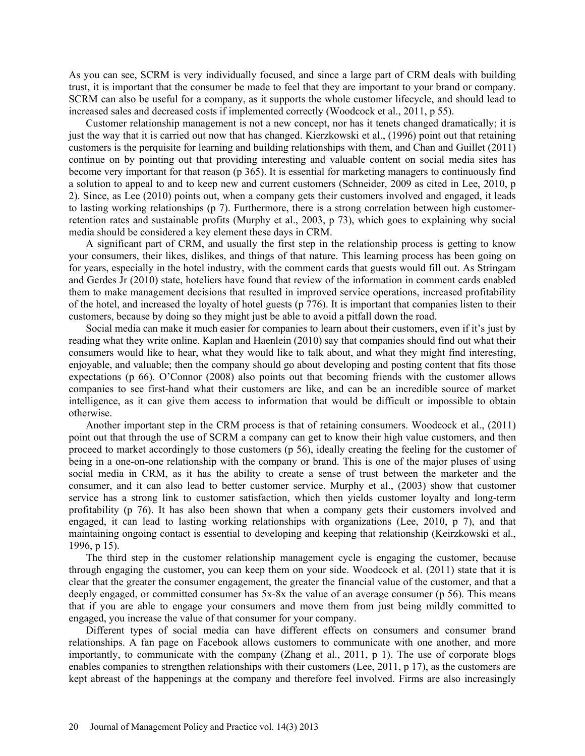As you can see, SCRM is very individually focused, and since a large part of CRM deals with building trust, it is important that the consumer be made to feel that they are important to your brand or company. SCRM can also be useful for a company, as it supports the whole customer lifecycle, and should lead to increased sales and decreased costs if implemented correctly (Woodcock et al., 2011, p 55).

Customer relationship management is not a new concept, nor has it tenets changed dramatically; it is just the way that it is carried out now that has changed. Kierzkowski et al., (1996) point out that retaining customers is the perquisite for learning and building relationships with them, and Chan and Guillet (2011) continue on by pointing out that providing interesting and valuable content on social media sites has become very important for that reason (p 365). It is essential for marketing managers to continuously find a solution to appeal to and to keep new and current customers (Schneider, 2009 as cited in Lee, 2010, p 2). Since, as Lee (2010) points out, when a company gets their customers involved and engaged, it leads to lasting working relationships (p 7). Furthermore, there is a strong correlation between high customerretention rates and sustainable profits (Murphy et al., 2003, p 73), which goes to explaining why social media should be considered a key element these days in CRM.

A significant part of CRM, and usually the first step in the relationship process is getting to know your consumers, their likes, dislikes, and things of that nature. This learning process has been going on for years, especially in the hotel industry, with the comment cards that guests would fill out. As Stringam and Gerdes Jr (2010) state, hoteliers have found that review of the information in comment cards enabled them to make management decisions that resulted in improved service operations, increased profitability of the hotel, and increased the loyalty of hotel guests (p 776). It is important that companies listen to their customers, because by doing so they might just be able to avoid a pitfall down the road.

Social media can make it much easier for companies to learn about their customers, even if it's just by reading what they write online. Kaplan and Haenlein (2010) say that companies should find out what their consumers would like to hear, what they would like to talk about, and what they might find interesting, enjoyable, and valuable; then the company should go about developing and posting content that fits those expectations (p 66). O'Connor (2008) also points out that becoming friends with the customer allows companies to see first-hand what their customers are like, and can be an incredible source of market intelligence, as it can give them access to information that would be difficult or impossible to obtain otherwise.

Another important step in the CRM process is that of retaining consumers. Woodcock et al., (2011) point out that through the use of SCRM a company can get to know their high value customers, and then proceed to market accordingly to those customers (p 56), ideally creating the feeling for the customer of being in a one-on-one relationship with the company or brand. This is one of the major pluses of using social media in CRM, as it has the ability to create a sense of trust between the marketer and the consumer, and it can also lead to better customer service. Murphy et al., (2003) show that customer service has a strong link to customer satisfaction, which then yields customer loyalty and long-term profitability (p 76). It has also been shown that when a company gets their customers involved and engaged, it can lead to lasting working relationships with organizations (Lee, 2010, p 7), and that maintaining ongoing contact is essential to developing and keeping that relationship (Keirzkowski et al., 1996, p 15).

The third step in the customer relationship management cycle is engaging the customer, because through engaging the customer, you can keep them on your side. Woodcock et al. (2011) state that it is clear that the greater the consumer engagement, the greater the financial value of the customer, and that a deeply engaged, or committed consumer has  $5x-8x$  the value of an average consumer (p 56). This means that if you are able to engage your consumers and move them from just being mildly committed to engaged, you increase the value of that consumer for your company.

Different types of social media can have different effects on consumers and consumer brand relationships. A fan page on Facebook allows customers to communicate with one another, and more importantly, to communicate with the company (Zhang et al., 2011, p 1). The use of corporate blogs enables companies to strengthen relationships with their customers (Lee, 2011, p 17), as the customers are kept abreast of the happenings at the company and therefore feel involved. Firms are also increasingly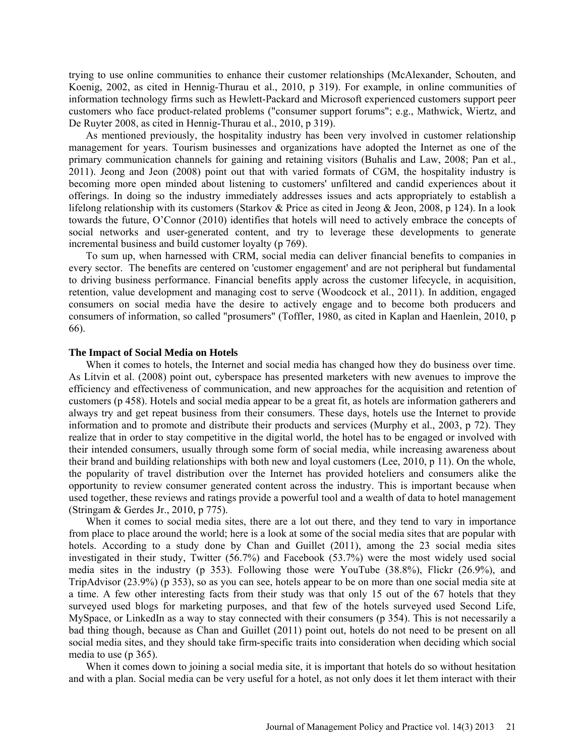trying to use online communities to enhance their customer relationships (McAlexander, Schouten, and Koenig, 2002, as cited in Hennig-Thurau et al., 2010, p 319). For example, in online communities of information technology firms such as Hewlett-Packard and Microsoft experienced customers support peer customers who face product-related problems ("consumer support forums"; e.g., Mathwick, Wiertz, and De Ruyter 2008, as cited in Hennig-Thurau et al., 2010, p 319).

As mentioned previously, the hospitality industry has been very involved in customer relationship management for years. Tourism businesses and organizations have adopted the Internet as one of the primary communication channels for gaining and retaining visitors (Buhalis and Law, 2008; Pan et al., 2011). Jeong and Jeon (2008) point out that with varied formats of CGM, the hospitality industry is becoming more open minded about listening to customers' unfiltered and candid experiences about it offerings. In doing so the industry immediately addresses issues and acts appropriately to establish a lifelong relationship with its customers (Starkov & Price as cited in Jeong & Jeon, 2008, p 124). In a look towards the future, O'Connor (2010) identifies that hotels will need to actively embrace the concepts of social networks and user-generated content, and try to leverage these developments to generate incremental business and build customer loyalty (p 769).

To sum up, when harnessed with CRM, social media can deliver financial benefits to companies in every sector. The benefits are centered on 'customer engagement' and are not peripheral but fundamental to driving business performance. Financial benefits apply across the customer lifecycle, in acquisition, retention, value development and managing cost to serve (Woodcock et al., 2011). In addition, engaged consumers on social media have the desire to actively engage and to become both producers and consumers of information, so called "prosumers" (Toffler, 1980, as cited in Kaplan and Haenlein, 2010, p 66).

#### **The Impact of Social Media on Hotels**

When it comes to hotels, the Internet and social media has changed how they do business over time. As Litvin et al. (2008) point out, cyberspace has presented marketers with new avenues to improve the efficiency and effectiveness of communication, and new approaches for the acquisition and retention of customers (p 458). Hotels and social media appear to be a great fit, as hotels are information gatherers and always try and get repeat business from their consumers. These days, hotels use the Internet to provide information and to promote and distribute their products and services (Murphy et al., 2003, p 72). They realize that in order to stay competitive in the digital world, the hotel has to be engaged or involved with their intended consumers, usually through some form of social media, while increasing awareness about their brand and building relationships with both new and loyal customers (Lee, 2010, p 11). On the whole, the popularity of travel distribution over the Internet has provided hoteliers and consumers alike the opportunity to review consumer generated content across the industry. This is important because when used together, these reviews and ratings provide a powerful tool and a wealth of data to hotel management (Stringam & Gerdes Jr., 2010, p 775).

When it comes to social media sites, there are a lot out there, and they tend to vary in importance from place to place around the world; here is a look at some of the social media sites that are popular with hotels. According to a study done by Chan and Guillet (2011), among the 23 social media sites investigated in their study, Twitter (56.7%) and Facebook (53.7%) were the most widely used social media sites in the industry (p 353). Following those were YouTube (38.8%), Flickr (26.9%), and TripAdvisor (23.9%) (p 353), so as you can see, hotels appear to be on more than one social media site at a time. A few other interesting facts from their study was that only 15 out of the 67 hotels that they surveyed used blogs for marketing purposes, and that few of the hotels surveyed used Second Life, MySpace, or LinkedIn as a way to stay connected with their consumers (p 354). This is not necessarily a bad thing though, because as Chan and Guillet (2011) point out, hotels do not need to be present on all social media sites, and they should take firm-specific traits into consideration when deciding which social media to use (p 365).

When it comes down to joining a social media site, it is important that hotels do so without hesitation and with a plan. Social media can be very useful for a hotel, as not only does it let them interact with their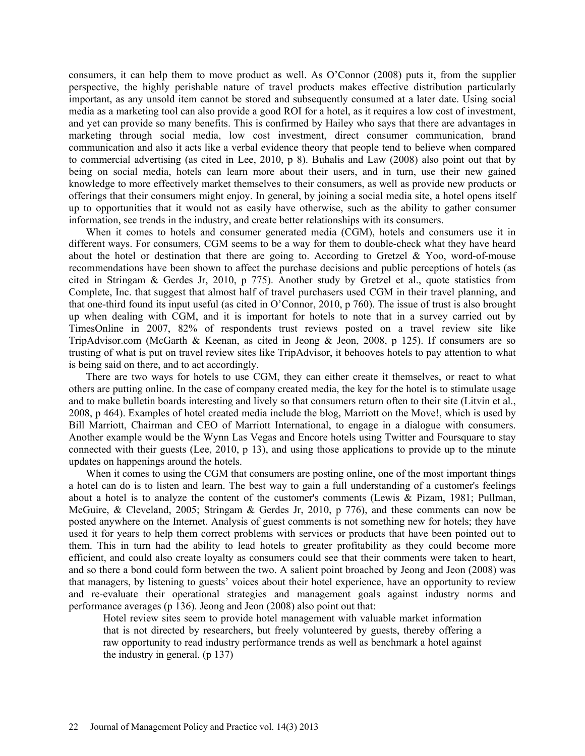consumers, it can help them to move product as well. As O'Connor (2008) puts it, from the supplier perspective, the highly perishable nature of travel products makes effective distribution particularly important, as any unsold item cannot be stored and subsequently consumed at a later date. Using social media as a marketing tool can also provide a good ROI for a hotel, as it requires a low cost of investment, and yet can provide so many benefits. This is confirmed by Hailey who says that there are advantages in marketing through social media, low cost investment, direct consumer communication, brand communication and also it acts like a verbal evidence theory that people tend to believe when compared to commercial advertising (as cited in Lee, 2010, p 8). Buhalis and Law (2008) also point out that by being on social media, hotels can learn more about their users, and in turn, use their new gained knowledge to more effectively market themselves to their consumers, as well as provide new products or offerings that their consumers might enjoy. In general, by joining a social media site, a hotel opens itself up to opportunities that it would not as easily have otherwise, such as the ability to gather consumer information, see trends in the industry, and create better relationships with its consumers.

When it comes to hotels and consumer generated media (CGM), hotels and consumers use it in different ways. For consumers, CGM seems to be a way for them to double-check what they have heard about the hotel or destination that there are going to. According to Gretzel  $& Yoo$ , word-of-mouse recommendations have been shown to affect the purchase decisions and public perceptions of hotels (as cited in Stringam & Gerdes Jr, 2010, p 775). Another study by Gretzel et al., quote statistics from Complete, Inc. that suggest that almost half of travel purchasers used CGM in their travel planning, and that one-third found its input useful (as cited in O'Connor, 2010, p 760). The issue of trust is also brought up when dealing with CGM, and it is important for hotels to note that in a survey carried out by TimesOnline in 2007, 82% of respondents trust reviews posted on a travel review site like TripAdvisor.com (McGarth & Keenan, as cited in Jeong & Jeon, 2008, p 125). If consumers are so trusting of what is put on travel review sites like TripAdvisor, it behooves hotels to pay attention to what is being said on there, and to act accordingly.

There are two ways for hotels to use CGM, they can either create it themselves, or react to what others are putting online. In the case of company created media, the key for the hotel is to stimulate usage and to make bulletin boards interesting and lively so that consumers return often to their site (Litvin et al., 2008, p 464). Examples of hotel created media include the blog, Marriott on the Move!, which is used by Bill Marriott, Chairman and CEO of Marriott International, to engage in a dialogue with consumers. Another example would be the Wynn Las Vegas and Encore hotels using Twitter and Foursquare to stay connected with their guests (Lee, 2010, p 13), and using those applications to provide up to the minute updates on happenings around the hotels.

When it comes to using the CGM that consumers are posting online, one of the most important things a hotel can do is to listen and learn. The best way to gain a full understanding of a customer's feelings about a hotel is to analyze the content of the customer's comments (Lewis & Pizam, 1981; Pullman, McGuire, & Cleveland, 2005; Stringam & Gerdes Jr, 2010, p 776), and these comments can now be posted anywhere on the Internet. Analysis of guest comments is not something new for hotels; they have used it for years to help them correct problems with services or products that have been pointed out to them. This in turn had the ability to lead hotels to greater profitability as they could become more efficient, and could also create loyalty as consumers could see that their comments were taken to heart, and so there a bond could form between the two. A salient point broached by Jeong and Jeon (2008) was that managers, by listening to guests' voices about their hotel experience, have an opportunity to review and re-evaluate their operational strategies and management goals against industry norms and performance averages (p 136). Jeong and Jeon (2008) also point out that:

Hotel review sites seem to provide hotel management with valuable market information that is not directed by researchers, but freely volunteered by guests, thereby offering a raw opportunity to read industry performance trends as well as benchmark a hotel against the industry in general. (p 137)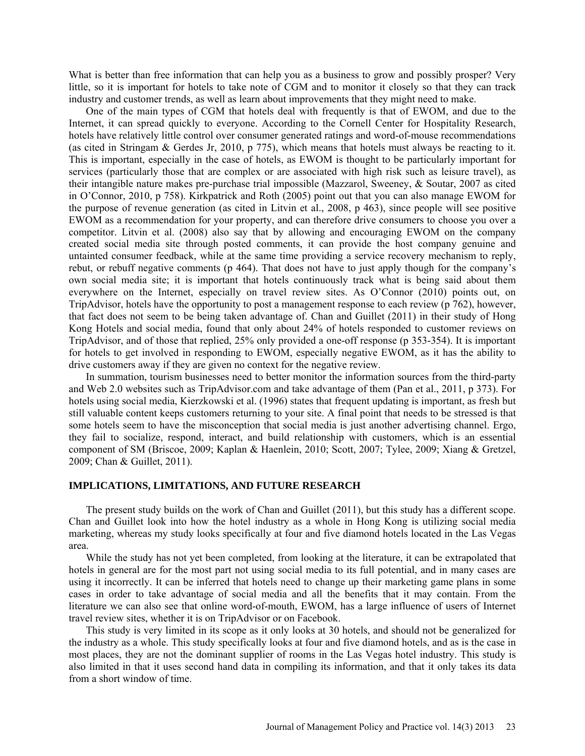What is better than free information that can help you as a business to grow and possibly prosper? Very little, so it is important for hotels to take note of CGM and to monitor it closely so that they can track industry and customer trends, as well as learn about improvements that they might need to make.

One of the main types of CGM that hotels deal with frequently is that of EWOM, and due to the Internet, it can spread quickly to everyone. According to the Cornell Center for Hospitality Research, hotels have relatively little control over consumer generated ratings and word-of-mouse recommendations (as cited in Stringam & Gerdes Jr, 2010, p 775), which means that hotels must always be reacting to it. This is important, especially in the case of hotels, as EWOM is thought to be particularly important for services (particularly those that are complex or are associated with high risk such as leisure travel), as their intangible nature makes pre-purchase trial impossible (Mazzarol, Sweeney, & Soutar, 2007 as cited in O'Connor, 2010, p 758). Kirkpatrick and Roth (2005) point out that you can also manage EWOM for the purpose of revenue generation (as cited in Litvin et al., 2008, p 463), since people will see positive EWOM as a recommendation for your property, and can therefore drive consumers to choose you over a competitor. Litvin et al. (2008) also say that by allowing and encouraging EWOM on the company created social media site through posted comments, it can provide the host company genuine and untainted consumer feedback, while at the same time providing a service recovery mechanism to reply, rebut, or rebuff negative comments (p 464). That does not have to just apply though for the company's own social media site; it is important that hotels continuously track what is being said about them everywhere on the Internet, especially on travel review sites. As O'Connor (2010) points out, on TripAdvisor, hotels have the opportunity to post a management response to each review (p 762), however, that fact does not seem to be being taken advantage of. Chan and Guillet (2011) in their study of Hong Kong Hotels and social media, found that only about 24% of hotels responded to customer reviews on TripAdvisor, and of those that replied, 25% only provided a one-off response (p 353-354). It is important for hotels to get involved in responding to EWOM, especially negative EWOM, as it has the ability to drive customers away if they are given no context for the negative review.

In summation, tourism businesses need to better monitor the information sources from the third-party and Web 2.0 websites such as TripAdvisor.com and take advantage of them (Pan et al., 2011, p 373). For hotels using social media, Kierzkowski et al. (1996) states that frequent updating is important, as fresh but still valuable content keeps customers returning to your site. A final point that needs to be stressed is that some hotels seem to have the misconception that social media is just another advertising channel. Ergo, they fail to socialize, respond, interact, and build relationship with customers, which is an essential component of SM (Briscoe, 2009; Kaplan & Haenlein, 2010; Scott, 2007; Tylee, 2009; Xiang & Gretzel, 2009; Chan & Guillet, 2011).

### **IMPLICATIONS, LIMITATIONS, AND FUTURE RESEARCH**

The present study builds on the work of Chan and Guillet (2011), but this study has a different scope. Chan and Guillet look into how the hotel industry as a whole in Hong Kong is utilizing social media marketing, whereas my study looks specifically at four and five diamond hotels located in the Las Vegas area.

While the study has not yet been completed, from looking at the literature, it can be extrapolated that hotels in general are for the most part not using social media to its full potential, and in many cases are using it incorrectly. It can be inferred that hotels need to change up their marketing game plans in some cases in order to take advantage of social media and all the benefits that it may contain. From the literature we can also see that online word-of-mouth, EWOM, has a large influence of users of Internet travel review sites, whether it is on TripAdvisor or on Facebook.

This study is very limited in its scope as it only looks at 30 hotels, and should not be generalized for the industry as a whole. This study specifically looks at four and five diamond hotels, and as is the case in most places, they are not the dominant supplier of rooms in the Las Vegas hotel industry. This study is also limited in that it uses second hand data in compiling its information, and that it only takes its data from a short window of time.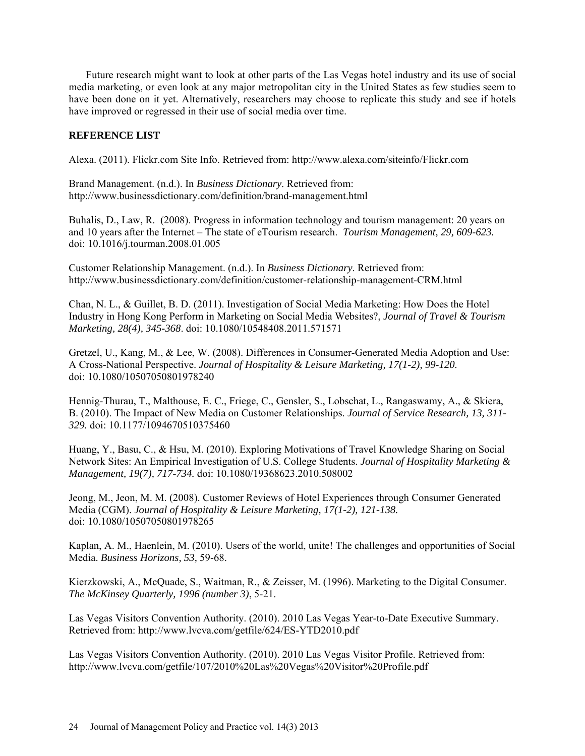Future research might want to look at other parts of the Las Vegas hotel industry and its use of social media marketing, or even look at any major metropolitan city in the United States as few studies seem to have been done on it yet. Alternatively, researchers may choose to replicate this study and see if hotels have improved or regressed in their use of social media over time.

## **REFERENCE LIST**

Alexa. (2011). Flickr.com Site Info. Retrieved from:<http://www.alexa.com/siteinfo/Flickr.com>

Brand Management. (n.d.). In *Business Dictionary*. Retrieved from: <http://www.businessdictionary.com/definition/brand-management.html>

Buhalis, D., Law, R. (2008). Progress in information technology and tourism management: 20 years on and 10 years after the Internet – The state of eTourism research. *Tourism Management, 29, 609-623.* doi: 10.1016/j.tourman.2008.01.005

Customer Relationship Management. (n.d.). In *Business Dictionary*. Retrieved from: <http://www.businessdictionary.com/definition/customer-relationship-management-CRM.html>

Chan, N. L., & Guillet, B. D. (2011). Investigation of Social Media Marketing: How Does the Hotel Industry in Hong Kong Perform in Marketing on Social Media Websites?, *Journal of Travel & Tourism Marketing, 28(4), 345-368*. doi: 10.1080/10548408.2011.571571

Gretzel, U., Kang, M., & Lee, W. (2008). Differences in Consumer-Generated Media Adoption and Use: A Cross-National Perspective. *Journal of Hospitality & Leisure Marketing, 17(1-2), 99-120.*  doi: 10.1080/10507050801978240

Hennig-Thurau, T., Malthouse, E. C., Friege, C., Gensler, S., Lobschat, L., Rangaswamy, A., & Skiera, B. (2010). The Impact of New Media on Customer Relationships. *Journal of Service Research, 13, 311- 329.* doi: 10.1177/1094670510375460

Huang, Y., Basu, C., & Hsu, M. (2010). Exploring Motivations of Travel Knowledge Sharing on Social Network Sites: An Empirical Investigation of U.S. College Students. *Journal of Hospitality Marketing & Management, 19(7), 717-734.* doi: 10.1080/19368623.2010.508002

Jeong, M., Jeon, M. M. (2008). Customer Reviews of Hotel Experiences through Consumer Generated Media (CGM). *Journal of Hospitality & Leisure Marketing, 17(1-2), 121-138.*  doi: 10.1080/10507050801978265

Kaplan, A. M., Haenlein, M. (2010). Users of the world, unite! The challenges and opportunities of Social Media. *Business Horizons, 53,* 59-68.

Kierzkowski, A., McQuade, S., Waitman, R., & Zeisser, M. (1996). Marketing to the Digital Consumer. *The McKinsey Quarterly, 1996 (number 3)*, 5-21.

Las Vegas Visitors Convention Authority. (2010). 2010 Las Vegas Year-to-Date Executive Summary. Retrieved from:<http://www.lvcva.com/getfile/624/ES-YTD2010.pdf>

Las Vegas Visitors Convention Authority. (2010). 2010 Las Vegas Visitor Profile. Retrieved from: <http://www.lvcva.com/getfile/107/2010%20Las%20Vegas%20Visitor%20Profile.pdf>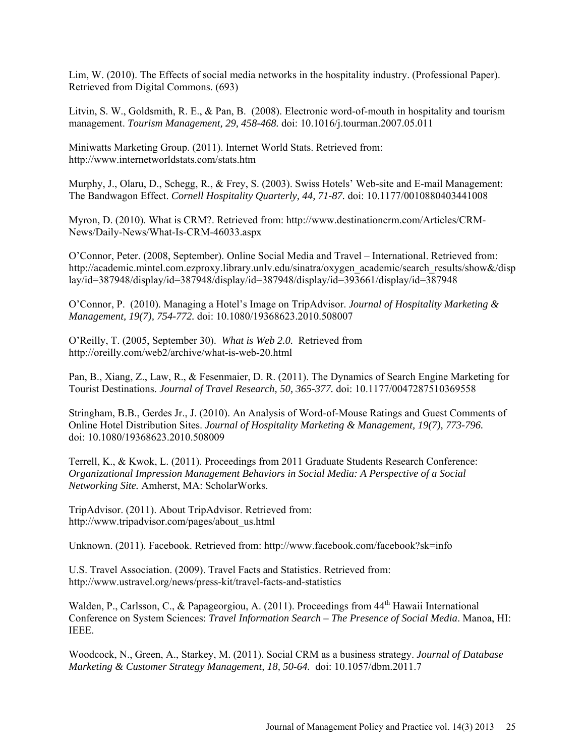Lim, W. (2010). The Effects of social media networks in the hospitality industry. (Professional Paper). Retrieved from Digital Commons. (693)

Litvin, S. W., Goldsmith, R. E., & Pan, B. (2008). Electronic word-of-mouth in hospitality and tourism management. *Tourism Management, 29, 458-468.* doi: 10.1016/j.tourman.2007.05.011

Miniwatts Marketing Group. (2011). Internet World Stats. Retrieved from: <http://www.internetworldstats.com/stats.htm>

Murphy, J., Olaru, D., Schegg, R., & Frey, S. (2003). Swiss Hotels' Web-site and E-mail Management: The Bandwagon Effect. *Cornell Hospitality Quarterly, 44, 71-87.* doi: 10.1177/0010880403441008

Myron, D. (2010). What is CRM?. Retrieved from: [http://www.destinationcrm.com/Articles/CRM-](http://www.destinationcrm.com/Articles/CRM-News/Daily-News/What-Is-CRM-46033.aspx)[News/Daily-News/What-Is-CRM-46033.aspx](http://www.destinationcrm.com/Articles/CRM-News/Daily-News/What-Is-CRM-46033.aspx)

O'Connor, Peter. (2008, September). Online Social Media and Travel – International. Retrieved from: [http://academic.mintel.com.ezproxy.library.unlv.edu/sinatra/oxygen\\_academic/search\\_results/show&/disp](http://academic.mintel.com.ezproxy.library.unlv.edu/sinatra/oxygen_academic/search_results/show&/display/id=387948/display/id=387948/display/id=387948/display/id=393661/display/id=387948) [lay/id=387948/display/id=387948/display/id=387948/display/id=393661/display/id=387948](http://academic.mintel.com.ezproxy.library.unlv.edu/sinatra/oxygen_academic/search_results/show&/display/id=387948/display/id=387948/display/id=387948/display/id=393661/display/id=387948)

O'Connor, P. (2010). Managing a Hotel's Image on TripAdvisor. *Journal of Hospitality Marketing & Management, 19(7), 754-772.* doi: 10.1080/19368623.2010.508007

O'Reilly, T. (2005, September 30). *What is Web 2.0.* Retrieved from <http://oreilly.com/web2/archive/what-is-web-20.html>

Pan, B., Xiang, Z., Law, R., & Fesenmaier, D. R. (2011). The Dynamics of Search Engine Marketing for Tourist Destinations. *Journal of Travel Research, 50, 365-377.* doi: 10.1177/0047287510369558

Stringham, B.B., Gerdes Jr., J. (2010). An Analysis of Word-of-Mouse Ratings and Guest Comments of Online Hotel Distribution Sites. *Journal of Hospitality Marketing & Management, 19(7), 773-796.* doi: 10.1080/19368623.2010.508009

Terrell, K., & Kwok, L. (2011). Proceedings from 2011 Graduate Students Research Conference: *Organizational Impression Management Behaviors in Social Media: A Perspective of a Social Networking Site.* Amherst, MA: ScholarWorks.

TripAdvisor. (2011). About TripAdvisor. Retrieved from: [http://www.tripadvisor.com/pages/about\\_us.html](http://www.tripadvisor.com/pages/about_us.html)

Unknown. (2011). Facebook. Retrieved from:<http://www.facebook.com/facebook?sk=info>

U.S. Travel Association. (2009). Travel Facts and Statistics. Retrieved from: <http://www.ustravel.org/news/press-kit/travel-facts-and-statistics>

Walden, P., Carlsson, C., & Papageorgiou, A. (2011). Proceedings from  $44<sup>th</sup>$  Hawaii International Conference on System Sciences: *Travel Information Search – The Presence of Social Media*. Manoa, HI: IEEE.

Woodcock, N., Green, A., Starkey, M. (2011). Social CRM as a business strategy. *Journal of Database Marketing & Customer Strategy Management, 18, 50-64.* doi: 10.1057/dbm.2011.7